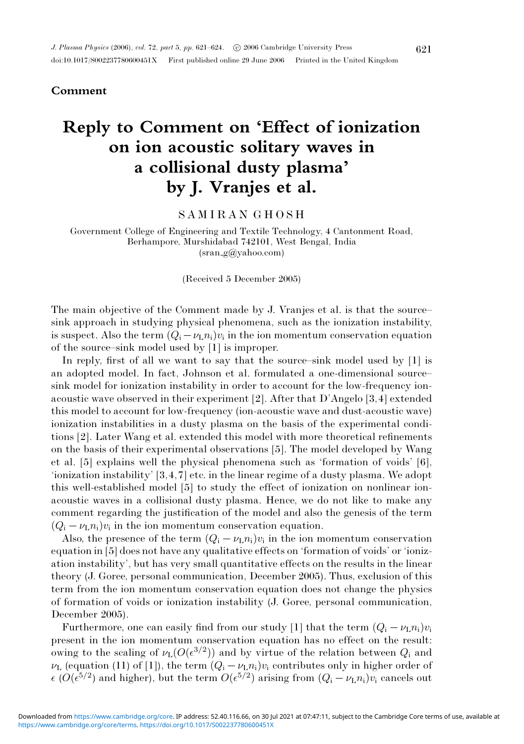# **Comment**

# **Reply to Comment on 'Effect of ionization on ion acoustic solitary waves in a collisional dusty plasma' by J. Vranjes et al.**

# SAMIRAN GHOSH

Government College of Engineering and Textile Technology, 4 Cantonment Road, Berhampore, Murshidabad 742101, West Bengal, India (sran g@yahoo.com)

(Received 5 December 2005)

The main objective of the Comment made by J. Vranjes et al. is that the source– sink approach in studying physical phenomena, such as the ionization instability, is suspect. Also the term  $(Q_i - \nu_L n_i)v_i$  in the ion momentum conservation equation of the source–sink model used by [1] is improper.

In reply, first of all we want to say that the source–sink model used by [1] is an adopted model. In fact, Johnson et al. formulated a one-dimensional source– sink model for ionization instability in order to account for the low-frequency ionacoustic wave observed in their experiment [2]. After that D'Angelo [3,4] extended this model to account for low-frequency (ion-acoustic wave and dust-acoustic wave) ionization instabilities in a dusty plasma on the basis of the experimental conditions [2]. Later Wang et al. extended this model with more theoretical refinements on the basis of their experimental observations [5]. The model developed by Wang et al. [5] explains well the physical phenomena such as 'formation of voids' [6], 'ionization instability' [3,4,7] etc. in the linear regime of a dusty plasma. We adopt this well-established model [5] to study the effect of ionization on nonlinear ionacoustic waves in a collisional dusty plasma. Hence, we do not like to make any comment regarding the justification of the model and also the genesis of the term  $(Q_i - \nu_L n_i)v_i$  in the ion momentum conservation equation.

Also, the presence of the term  $(Q_i - \nu_L n_i)v_i$  in the ion momentum conservation equation in [5] does not have any qualitative effects on 'formation of voids' or 'ionization instability', but has very small quantitative effects on the results in the linear theory (J. Goree, personal communication, December 2005). Thus, exclusion of this term from the ion momentum conservation equation does not change the physics of formation of voids or ionization instability (J. Goree, personal communication, December 2005).

Furthermore, one can easily find from our study [1] that the term  $(Q_i - \nu_L n_i)v_i$ present in the ion momentum conservation equation has no effect on the result: owing to the scaling of  $\nu_L(O(\epsilon^{3/2}))$  and by virtue of the relation between  $Q_i$  and  $\nu_{\text{L}}$  (equation (11) of [1]), the term  $(Q_i - \nu_{\text{L}} n_i)v_i$  contributes only in higher order of  $\epsilon$  ( $O(\epsilon^{5/2})$  and higher), but the term  $O(\epsilon^{5/2})$  arising from  $(Q_i - \nu_L n_i)v_i$  cancels out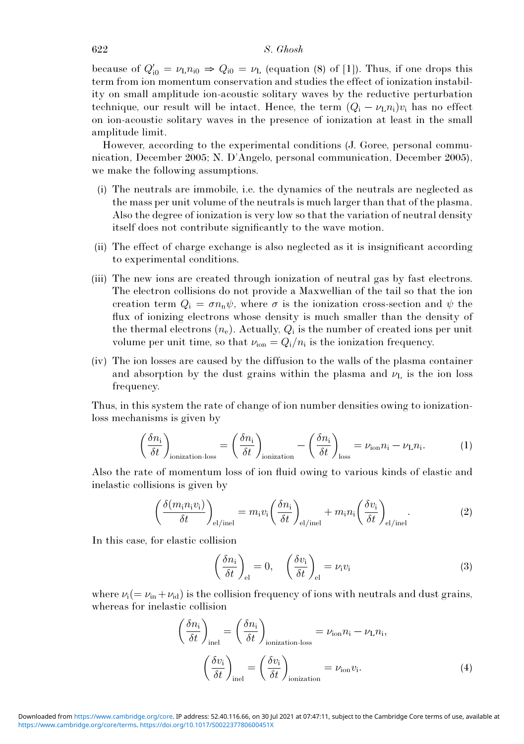### 622 S. Ghosh

because of  $Q'_{i0} = \nu_{\text{L}} n_{i0} \Rightarrow Q_{i0} = \nu_{\text{L}}$  (equation (8) of [1]). Thus, if one drops this term from ion momentum conservation and studies the effect of ionization instability on small amplitude ion-acoustic solitary waves by the reductive perturbation technique, our result will be intact. Hence, the term  $(Q_i - \nu_L n_i)v_i$  has no effect on ion-acoustic solitary waves in the presence of ionization at least in the small amplitude limit.

However, according to the experimental conditions (J. Goree, personal communication, December 2005; N. D'Angelo, personal communication, December 2005), we make the following assumptions.

- (i) The neutrals are immobile, i.e. the dynamics of the neutrals are neglected as the mass per unit volume of the neutrals is much larger than that of the plasma. Also the degree of ionization is very low so that the variation of neutral density itself does not contribute significantly to the wave motion.
- (ii) The effect of charge exchange is also neglected as it is insignificant according to experimental conditions.
- (iii) The new ions are created through ionization of neutral gas by fast electrons. The electron collisions do not provide a Maxwellian of the tail so that the ion creation term  $Q_i = \sigma n_n \psi$ , where  $\sigma$  is the ionization cross-section and  $\psi$  the flux of ionizing electrons whose density is much smaller than the density of the thermal electrons  $(n_e)$ . Actually,  $Q_i$  is the number of created ions per unit volume per unit time, so that  $\nu_{\text{ion}} = Q_i/n_i$  is the ionization frequency.
- (iv) The ion losses are caused by the diffusion to the walls of the plasma container and absorption by the dust grains within the plasma and  $\nu_L$  is the ion loss frequency.

Thus, in this system the rate of change of ion number densities owing to ionizationloss mechanisms is given by

$$
\left(\frac{\delta n_{\rm i}}{\delta t}\right)_{\rm ionization-loss} = \left(\frac{\delta n_{\rm i}}{\delta t}\right)_{\rm ionization} - \left(\frac{\delta n_{\rm i}}{\delta t}\right)_{\rm loss} = \nu_{\rm ion} n_{\rm i} - \nu_{\rm L} n_{\rm i}.\tag{1}
$$

Also the rate of momentum loss of ion fluid owing to various kinds of elastic and inelastic collisions is given by

$$
\left(\frac{\delta(m_{\rm i}n_{\rm i}v_{\rm i})}{\delta t}\right)_{\rm el/inel} = m_{\rm i}v_{\rm i}\left(\frac{\delta n_{\rm i}}{\delta t}\right)_{\rm el/inel} + m_{\rm i}n_{\rm i}\left(\frac{\delta v_{\rm i}}{\delta t}\right)_{\rm el/inel}.\tag{2}
$$

In this case, for elastic collision

$$
\left(\frac{\delta n_{\rm i}}{\delta t}\right)_{\rm el} = 0, \quad \left(\frac{\delta v_{\rm i}}{\delta t}\right)_{\rm el} = \nu_{\rm i} v_{\rm i} \tag{3}
$$

where  $\nu_i(=\nu_{in}+\nu_{id})$  is the collision frequency of ions with neutrals and dust grains, whereas for inelastic collision

$$
\left(\frac{\delta n_{\rm i}}{\delta t}\right)_{\rm inel} = \left(\frac{\delta n_{\rm i}}{\delta t}\right)_{\rm ionization\text{-}loss} = \nu_{\rm ion} n_{\rm i} - \nu_{\rm L} n_{\rm i},
$$
\n
$$
\left(\frac{\delta v_{\rm i}}{\delta t}\right)_{\rm inel} = \left(\frac{\delta v_{\rm i}}{\delta t}\right)_{\rm ionization} = \nu_{\rm ion} v_{\rm i}.
$$
\n(4)

https://www.cambridge.org/core/terms. https://doi.org/10.1017/S002237780600451X Downloaded from https://www.cambridge.org/core. IP address: 52.40.116.66, on 30 Jul 2021 at 07:47:11, subject to the Cambridge Core terms of use, available at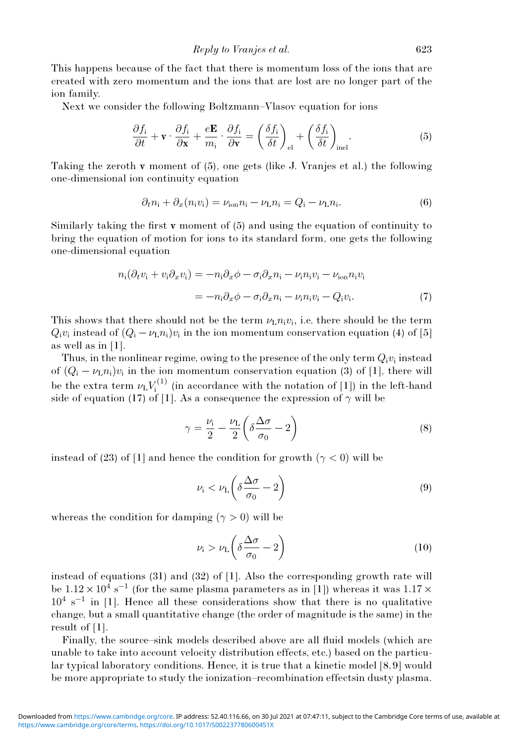This happens because of the fact that there is momentum loss of the ions that are created with zero momentum and the ions that are lost are no longer part of the ion family.

Next we consider the following Boltzmann–Vlasov equation for ions

$$
\frac{\partial f_i}{\partial t} + \mathbf{v} \cdot \frac{\partial f_i}{\partial \mathbf{x}} + \frac{e\mathbf{E}}{m_i} \cdot \frac{\partial f_i}{\partial \mathbf{v}} = \left(\frac{\delta f_i}{\delta t}\right)_{\text{el}} + \left(\frac{\delta f_i}{\delta t}\right)_{\text{inel}}.\tag{5}
$$

Taking the zeroth **v** moment of  $(5)$ , one gets (like J. Vranjes et al.) the following one-dimensional ion continuity equation

$$
\partial_t n_i + \partial_x (n_i v_i) = \nu_{\text{ion}} n_i - \nu_{\text{L}} n_i = Q_i - \nu_{\text{L}} n_i. \tag{6}
$$

Similarly taking the first **v** moment of  $(5)$  and using the equation of continuity to bring the equation of motion for ions to its standard form, one gets the following one-dimensional equation

$$
n_{i}(\partial_{t}v_{i} + v_{i}\partial_{x}v_{i}) = -n_{i}\partial_{x}\phi - \sigma_{i}\partial_{x}n_{i} - \nu_{i}n_{i}v_{i} - \nu_{ion}n_{i}v_{i}
$$

$$
= -n_{i}\partial_{x}\phi - \sigma_{i}\partial_{x}n_{i} - \nu_{i}n_{i}v_{i} - Q_{i}v_{i}.
$$
(7)

This shows that there should not be the term  $\nu_L n_i v_i$ , i.e. there should be the term  $Q_i v_i$  instead of  $(Q_i - \nu_L n_i)v_i$  in the ion momentum conservation equation (4) of [5] as well as in [1].

Thus, in the nonlinear regime, owing to the presence of the only term  $Q_i v_i$  instead of  $(Q_i - \nu_L n_i)v_i$  in the ion momentum conservation equation (3) of [1], there will be the extra term  $\nu_{\mathrm{L}} V_{\mathrm{i}}^{(1)}$  $\mathcal{I}^{(1)}$  (in accordance with the notation of [1]) in the left-hand side of equation (17) of [1]. As a consequence the expression of  $\gamma$  will be

$$
\gamma = \frac{\nu_{\rm i}}{2} - \frac{\nu_{\rm L}}{2} \left( \delta \frac{\Delta \sigma}{\sigma_0} - 2 \right) \tag{8}
$$

instead of (23) of [1] and hence the condition for growth ( $\gamma$  < 0) will be

$$
\nu_{\rm i} < \nu_{\rm L} \left( \delta \frac{\Delta \sigma}{\sigma_0} - 2 \right) \tag{9}
$$

whereas the condition for damping  $(\gamma > 0)$  will be

$$
\nu_{\rm i} > \nu_{\rm L} \left( \delta \frac{\Delta \sigma}{\sigma_0} - 2 \right) \tag{10}
$$

instead of equations (31) and (32) of [1]. Also the corresponding growth rate will be  $1.12 \times 10^4$  s<sup>-1</sup> (for the same plasma parameters as in [1]) whereas it was  $1.17 \times$  $10^4$  s<sup>-1</sup> in [1]. Hence all these considerations show that there is no qualitative change, but a small quantitative change (the order of magnitude is the same) in the result of [1].

Finally, the source–sink models described above are all fluid models (which are unable to take into account velocity distribution effects, etc.) based on the particular typical laboratory conditions. Hence, it is true that a kinetic model [8, 9] would be more appropriate to study the ionization–recombination effectsin dusty plasma.